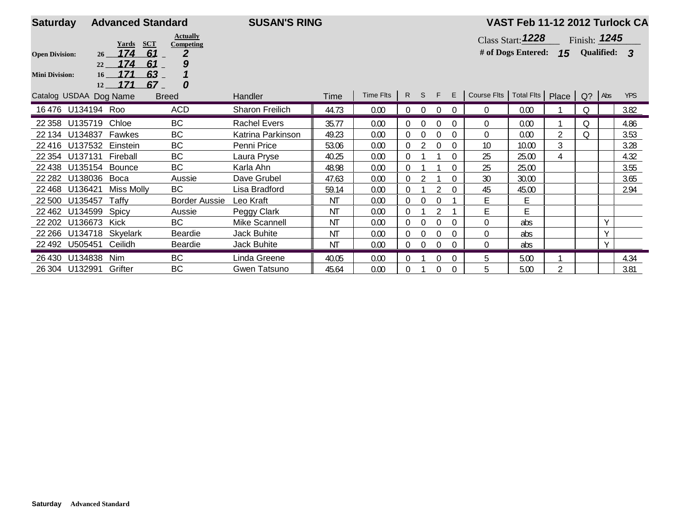| <b>Saturday</b>                          |                                                     | <b>Advanced Standard</b>     |                      | <b>SUSAN'S RING</b> |           |           |                |                |          |              |                                             | VAST Feb 11-12 2012 Turlock CA     |   |                                       |        |            |
|------------------------------------------|-----------------------------------------------------|------------------------------|----------------------|---------------------|-----------|-----------|----------------|----------------|----------|--------------|---------------------------------------------|------------------------------------|---|---------------------------------------|--------|------------|
|                                          | <b>Actually</b><br><b>SCT</b><br>Yards<br>Competing |                              |                      |                     |           |           |                |                |          |              |                                             | Class Start: $1228$                |   | $\overline{\phantom{a}}$ Finish: 1245 |        |            |
| 174<br>61<br><b>Open Division:</b><br>26 |                                                     |                              |                      |                     |           |           |                |                |          |              |                                             | # of Dogs Entered: 15 Qualified: 3 |   |                                       |        |            |
|                                          | 22                                                  | 174<br>61                    | 9                    |                     |           |           |                |                |          |              |                                             |                                    |   |                                       |        |            |
| <b>Mini Division:</b>                    | 16 <sup>1</sup><br>12                               | 171<br>$63-$<br>171<br>$67-$ | 0                    |                     |           |           |                |                |          |              |                                             |                                    |   |                                       |        |            |
|                                          | Catalog USDAA Dog Name                              |                              | <b>Breed</b>         | Handler             | Time      | Time Flts |                |                | R S F E  |              | Course Flts   Total Flts   Place   Q?   Abs |                                    |   |                                       |        | <b>YPS</b> |
|                                          | 16476 U134194 Roo                                   |                              | <b>ACD</b>           | Sharon Freilich     | 44.73     | 0.00      | $\overline{0}$ | $\overline{0}$ | 0        | $\mathbf{0}$ | $\mathbf 0$                                 | 0.00                               |   | Q                                     |        | 3.82       |
| 22 358                                   | U135719                                             | Chloe                        | <b>BC</b>            | <b>Rachel Evers</b> | 35.77     | 0.00      | $\Omega$       | $\Omega$       |          | 0            | 0                                           | 0.00                               |   | Q                                     |        | 4.86       |
| 22 134                                   | U134837                                             | Fawkes                       | <b>BC</b>            | Katrina Parkinson   | 49.23     | 0.00      | 0              | $\Omega$       | 0        | $\Omega$     | $\Omega$                                    | 0.00                               | 2 | 0                                     |        | 3.53       |
| 22 4 16                                  | U137532                                             | Einstein                     | <b>BC</b>            | Penni Price         | 53.06     | 0.00      | $\Omega$       |                | $\theta$ | $\Omega$     | 10                                          | 10.00                              | 3 |                                       |        | 3.28       |
| 22 3 54                                  | U137131                                             | Fireball                     | BC                   | Laura Pryse         | 40.25     | 0.00      | $\Omega$       |                |          | $\Omega$     | 25                                          | 25.00                              | 4 |                                       |        | 4.32       |
| 22 4 38                                  | U135154 Bounce                                      |                              | <b>BC</b>            | Karla Ahn           | 48.98     | 0.00      | $\Omega$       |                |          | $\Omega$     | 25                                          | 25.00                              |   |                                       |        | 3.55       |
| 22 282                                   | U138036                                             | Boca                         | Aussie               | Dave Grubel         | 47.63     | 0.00      | $\Omega$       |                |          | $\Omega$     | 30                                          | 30.00                              |   |                                       |        | 3.65       |
| 22 4 6 8                                 | U136421                                             | Miss Molly                   | BC                   | Lisa Bradford       | 59.14     | 0.00      | 0              |                |          | $\Omega$     | 45                                          | 45.00                              |   |                                       |        | 2.94       |
| 22 500                                   | U135457                                             | Taffy                        | <b>Border Aussie</b> | Leo Kraft           | ΝT        | 0.00      | 0              | $\theta$       |          |              | E                                           | Е                                  |   |                                       |        |            |
| 22 4 62                                  | U134599                                             | Spicy                        | Aussie               | Peggy Clark         | ΝT        | 0.00      | 0              |                |          |              | Ε                                           | E.                                 |   |                                       |        |            |
| 22 20 2                                  | U136673                                             | Kick                         | <b>BC</b>            | Mike Scannell       | ΝT        | 0.00      | $\Omega$       | $\theta$       | $\Omega$ | $\Omega$     | $\theta$                                    | abs                                |   |                                       | $\vee$ |            |
|                                          | 22 266 U134718                                      | Skyelark                     | Beardie              | <b>Jack Buhite</b>  | ΝT        | 0.00      | $\Omega$       | $\Omega$       | $\theta$ | $\Omega$     | $\Omega$                                    | abs                                |   |                                       | Y      |            |
|                                          | 22 492 U505451                                      | Ceilidh                      | Beardie              | <b>Jack Buhite</b>  | <b>NT</b> | 0.00      | $\mathbf{0}$   | $\Omega$       |          | $\Omega$     | $\Omega$                                    | abs                                |   |                                       | Y      |            |
|                                          | 26 430 U134838                                      | <b>Nim</b>                   | BC                   | Linda Greene        | 40.05     | 0.00      | $\overline{0}$ |                | $\Omega$ | $\Omega$     | 5                                           | 5.00                               |   |                                       |        | 4.34       |
|                                          | 26 304 U132991                                      | Grifter                      | <b>BC</b>            | Gwen Tatsuno        | 45.64     | 0.00      | $\Omega$       |                | 0        | $\Omega$     | 5                                           | 5.00                               | 2 |                                       |        | 3.81       |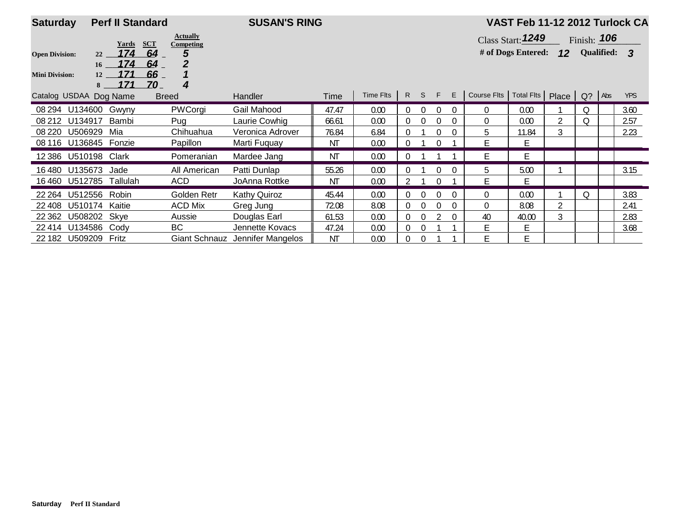| <b>Saturday</b>        |                       | <b>Perf II Standard</b> |            |                              | <b>SUSAN'S RING</b>             |       |           |                |          |          |          | VAST Feb 11-12 2012 Turlock CA   |                          |   |               |  |            |  |  |  |
|------------------------|-----------------------|-------------------------|------------|------------------------------|---------------------------------|-------|-----------|----------------|----------|----------|----------|----------------------------------|--------------------------|---|---------------|--|------------|--|--|--|
|                        |                       | Yards                   | <b>SCT</b> | <b>Actually</b><br>Competing |                                 |       |           |                |          |          |          |                                  | <b>Class Start: 1249</b> |   | Finish: $106$ |  |            |  |  |  |
| <b>Open Division:</b>  | 174<br>64<br>5<br>22  |                         |            |                              |                                 |       |           |                |          |          |          |                                  | # of Dogs Entered: $12$  |   | Qualified: 3  |  |            |  |  |  |
|                        |                       | 174<br>16               | 64         | 2                            |                                 |       |           |                |          |          |          |                                  |                          |   |               |  |            |  |  |  |
| <b>Mini Division:</b>  | 12<br>8               | 171<br>171              | 66<br>70   | 4                            |                                 |       |           |                |          |          |          |                                  |                          |   |               |  |            |  |  |  |
| Catalog USDAA Dog Name |                       |                         |            | <b>Breed</b>                 | <b>Handler</b>                  | Time  | Time Flts |                | R S F    |          | E        | Course Fits   Total Fits   Place |                          |   | Q? Abs        |  | <b>YPS</b> |  |  |  |
|                        | 08 294 U134600        | Gwyny                   |            | PWCorgi                      | Gail Mahood                     | 47.47 | 0.00      | 0              | $\Omega$ |          | $\Omega$ | $\Omega$                         | 0.00                     |   | Q             |  | 3.60       |  |  |  |
|                        | 08 212 U134917        | Bambi                   |            | Pug                          | Laurie Cowhig                   | 66.61 | 0.00      | $\Omega$       | $\Omega$ |          | $\Omega$ | $\Omega$                         | 0.00                     | 2 | Q             |  | 2.57       |  |  |  |
| 08 2 20                | U506929               | Mia                     |            | Chihuahua                    | Veronica Adrover                | 76.84 | 6.84      | $\Omega$       |          | $\Omega$ | $\Omega$ | 5                                | 11.84                    | 3 |               |  | 2.23       |  |  |  |
|                        | 08 116 U136845 Fonzie |                         |            | Papillon                     | Marti Fuquay                    | ΝT    | 0.00      | $\Omega$       |          |          |          | E.                               | E                        |   |               |  |            |  |  |  |
|                        | 12 386 U510198 Clark  |                         |            | Pomeranian                   | Mardee Jang                     | ΝT    | 0.00      |                |          |          |          | F                                | E                        |   |               |  |            |  |  |  |
| 16 480                 | U135673               | Jade                    |            | All American                 | Patti Dunlap                    | 55.26 | 0.00      |                |          |          |          | 5                                | 5.00                     |   |               |  | 3.15       |  |  |  |
| 16460                  | U512785               | Tallulah                |            | <b>ACD</b>                   | JoAnna Rottke                   | ΝT    | 0.00      |                |          |          |          | F                                | E                        |   |               |  |            |  |  |  |
| 22 2 64                | U512556 Robin         |                         |            | Golden Retr                  | <b>Kathy Quiroz</b>             | 45.44 | 0.00      | $\overline{0}$ | $\Omega$ |          | $\Omega$ | $\Omega$                         | 0.00                     |   | $\Omega$      |  | 3.83       |  |  |  |
| 22 408                 | U510174               | Kaitie                  |            | <b>ACD Mix</b>               | Greg Jung                       | 72.08 | 8.08      | $\Omega$       | $\Omega$ |          | $\Omega$ | $\Omega$                         | 8.08                     | 2 |               |  | 2.41       |  |  |  |
| 22 3 62                | U508202 Skye          |                         |            | Aussie                       | Douglas Earl                    | 61.53 | 0.00      | $\mathbf{0}$   | $\Omega$ |          | $\Omega$ | 40                               | 40.00                    | 3 |               |  | 2.83       |  |  |  |
| 22 414                 | U134586               | Cody                    |            | <b>BC</b>                    | Jennette Kovacs                 | 47.24 | 0.00      | 0              | $\theta$ |          |          | Ε                                | E                        |   |               |  | 3.68       |  |  |  |
|                        | 22 182 U509209 Fritz  |                         |            |                              | Giant Schnauz Jennifer Mangelos | ΝT    | 0.00      | $\Omega$       | $\Omega$ |          |          | E                                | E                        |   |               |  |            |  |  |  |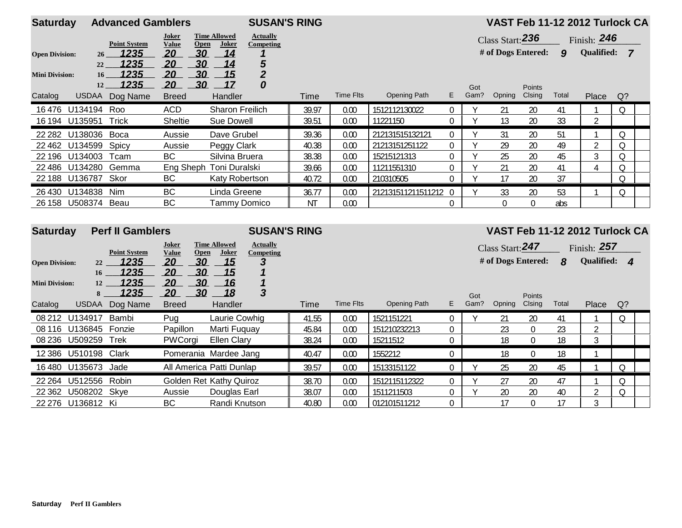| <b>Saturday</b>       |                       | <b>Advanced Gamblers</b> |                              |                                      | <b>SUSAN'S RING</b>          |           |                  |                     |                  |             |                    |                  |                  |                   | VAST Feb 11-12 2012 Turlock CA |
|-----------------------|-----------------------|--------------------------|------------------------------|--------------------------------------|------------------------------|-----------|------------------|---------------------|------------------|-------------|--------------------|------------------|------------------|-------------------|--------------------------------|
|                       |                       | <b>Point System</b>      | <b>Joker</b><br><b>Value</b> | <b>Time Allowed</b><br>Joker<br>Open | <b>Actually</b><br>Competing |           |                  |                     |                  |             | Class Start: $236$ |                  |                  | Finish: 246       |                                |
| <b>Open Division:</b> | $26^{\circ}$          | 1235                     | 20                           | 30<br>14                             |                              |           |                  |                     |                  |             | # of Dogs Entered: |                  | $\boldsymbol{9}$ | <b>Qualified:</b> | $\overline{7}$                 |
|                       | 22                    | 1235                     | 20                           | 30<br>14                             | $\frac{5}{2}$                |           |                  |                     |                  |             |                    |                  |                  |                   |                                |
| <b>Mini Division:</b> | 16 <sup>1</sup><br>12 | 1235<br>1235             | 20<br>20                     | 30<br>15<br>30<br>17                 | 0                            |           |                  |                     |                  |             |                    |                  |                  |                   |                                |
| Catalog               | <b>USDAA</b>          | Dog Name                 | <b>Breed</b>                 | Handler                              |                              | Time      | <b>Time Flts</b> | <b>Opening Path</b> | E                | Got<br>Gam? | Opning             | Points<br>Clsing | Total            | Place             | $Q$ ?                          |
| 16476                 | U134194               | Roo                      | <b>ACD</b>                   |                                      | <b>Sharon Freilich</b>       | 39.97     | 0.00             | 1512112130022       | $\overline{0}$   | Y           | 21                 | 20               | 41               |                   | Q                              |
| 16 194 U135951        |                       | Trick                    | Sheltie                      | Sue Dowell                           |                              | 39.51     | 0.00             | 11221150            | 0                | V           | 13                 | 20               | 33               | $\overline{2}$    |                                |
| 22 282                | U138036               | Boca                     | Aussie                       | Dave Grubel                          |                              | 39.36     | 0.00             | 212131515132121     | $\overline{0}$   | Y           | 31                 | 20               | 51               |                   | 0                              |
| 22 4 62               | U134599               | Spicy                    | Aussie                       | Peggy Clark                          |                              | 40.38     | 0.00             | 21213151251122      | $\mathbf 0$      |             | 29                 | 20               | 49               | $\overline{2}$    | Q                              |
| 22 196                | U134003               | Tcam                     | <b>BC</b>                    | Silvina Bruera                       |                              | 38.38     | 0.00             | 15215121313         | $\boldsymbol{0}$ | Y           | 25                 | 20               | 45               | 3                 | Q                              |
| 22 486                | U134280               | Gemma                    |                              | Eng Sheph Toni Duralski              |                              | 39.66     | 0.00             | 11211551310         | $\mathbf 0$      | Y           | 21                 | 20               | 41               | 4                 | Q                              |
| 22 188 U136787 Skor   |                       |                          | BC                           |                                      | Katy Robertson               | 40.72     | 0.00             | 210310505           | 0                | V           | 17                 | 20               | 37               |                   | Q                              |
| 26 4 30               | U134838               | Nim                      | BC                           | Linda Greene                         |                              | 36.77     | 0.00             | 212131511211511212  | $\overline{0}$   |             | 33                 | 20               | 53               |                   | Q                              |
| 26 158 U508374        |                       | Beau                     | <b>BC</b>                    |                                      | <b>Tammy Domico</b>          | <b>NT</b> | 0.00             |                     | $\theta$         |             | $\Omega$           | $\overline{0}$   | abs              |                   |                                |
|                       |                       |                          |                              |                                      |                              |           |                  |                     |                  |             |                    |                  |                  |                   |                                |
| <b>Saturday</b>       |                       | <b>Perf II Gamblers</b>  |                              |                                      | <b>SUSAN'S RING</b>          |           |                  |                     |                  |             |                    |                  |                  |                   | VAST Feb 11-12 2012 Turlock CA |
|                       |                       |                          | <b>Joker</b>                 | <b>Time Allowed</b>                  | <b>Actually</b>              |           |                  |                     |                  |             |                    |                  |                  |                   |                                |
|                       |                       | <b>Point System</b>      | <b>Value</b>                 | Joker<br><b>Open</b>                 | <b>Competing</b>             |           |                  |                     |                  |             | Class Start: $247$ |                  |                  | Finish: $257$     |                                |
| <b>Open Division:</b> | 22                    | 1235                     | 20                           | 30<br><u>15</u>                      | 3                            |           |                  |                     |                  |             | # of Dogs Entered: |                  | $\boldsymbol{8}$ | Qualified: 4      |                                |
|                       | 16                    | 1235                     | <u>20</u>                    | 30<br><u>15</u>                      |                              |           |                  |                     |                  |             |                    |                  |                  |                   |                                |
| <b>Mini Division:</b> | 12                    | 1235                     | 20                           | 30<br>16<br>30                       | 3                            |           |                  |                     |                  |             |                    |                  |                  |                   |                                |
|                       | 8                     | <u> 1235 </u>            | 20                           | 18                                   |                              |           | <b>Time Flts</b> | <b>Opening Path</b> | E.               | Got<br>Gam? | Opning             | Points<br>Clsing | Total            |                   |                                |
| Catalog               | <b>USDAA</b>          | Dog Name                 | <b>Breed</b>                 | Handler                              |                              | Time      |                  |                     |                  |             |                    |                  |                  | Place             | $Q$ ?                          |
| 08 21 2               | U134917               | Bambi                    | Pug                          | Laurie Cowhig                        |                              | 41.55     | 0.00             | 1521151221          | $\boldsymbol{0}$ | Y           | 21                 | 20               | 41               |                   | $\Omega$                       |
| 08 116                | U136845               | Fonzie                   | Papillon                     | Marti Fuguay                         |                              | 45.84     | 0.00             | 151210232213        | 0                |             | 23                 | $\overline{0}$   | 23               | $\overline{2}$    |                                |
| 08 236                | U509259               | Trek                     | PWCorgi                      | <b>Ellen Clary</b>                   |                              | 38.24     | 0.00             | 15211512            | $\mathbf 0$      |             | 18                 | $\mathbf 0$      | 18               | $\overline{3}$    |                                |

22 362 U508202 Skye Aussie Douglas Earl 38.07 | 0.00 | 1511211503 0 | Y 20 20 40 | 2 | Q

**Pomerania Mardee Jang 10.47 0.00 1552212 0 18 0 18 1** 

**BC** Randi Knutson 40.80 0.00 012101511212 0 17 0 17 3

All America Patti Dunlap 8.9.57 | 0.00 | 15133151122 0 | Y 25 20 45 | 1 | Q

**261 Golden Ret Kathy Quiroz 88.70 | 0.00 | 1512115112322 | 0 | 1 | 27 | 20 | 27 | 1 | Q** 

12 386 U510198 Clark

16 480 U135673 Jade

22 264 U512556 Robin

22 276 U136812 Ki BC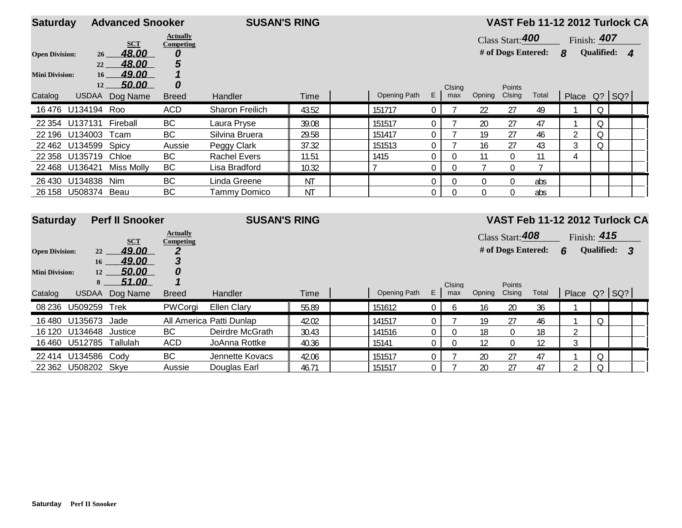| <b>Saturday</b><br><b>Advanced Snooker</b> |                       |                        |                              | <b>SUSAN'S RING</b>      |           |              |                  |                  |                |                    | VAST Feb 11-12 2012 Turlock CA |                                |             |              |  |
|--------------------------------------------|-----------------------|------------------------|------------------------------|--------------------------|-----------|--------------|------------------|------------------|----------------|--------------------|--------------------------------|--------------------------------|-------------|--------------|--|
|                                            |                       | <b>SCT</b>             | <b>Actually</b><br>Competing |                          |           |              |                  |                  |                | Class Start: 400   |                                |                                | Finish: 407 |              |  |
| <b>Open Division:</b>                      | $26 \,$               | 48.00                  | 0                            |                          |           |              |                  |                  |                | # of Dogs Entered: |                                | $\boldsymbol{8}$               |             | Qualified: 4 |  |
|                                            | 22                    | 48.00                  | 5                            |                          |           |              |                  |                  |                |                    |                                |                                |             |              |  |
| <b>Mini Division:</b>                      | 16 <sup>1</sup><br>12 | 49.00<br>50.00         | $\overline{\mathbf{1}}$<br>0 |                          |           |              |                  |                  |                |                    |                                |                                |             |              |  |
| Catalog                                    |                       | USDAA Dog Name         | <b>Breed</b>                 | Handler                  | Time      | Opening Path | E                | Clsing<br>max    | Opning Clsing  | Points             | Total                          | Place $Q$ ? $ SQ$ ?            |             |              |  |
|                                            | 16 476 U134194        | Roo                    | <b>ACD</b>                   | Sharon Freilich          | 43.52     | 151717       | $\mathbf 0$      | 7                | 22             | 27                 | 49                             |                                | $\Omega$    |              |  |
| 22 3 54                                    | U137131               | Fireball               | BC                           | Laura Pryse              | 39.08     | 151517       | $\boldsymbol{0}$ |                  | 20             | 27                 | 47                             |                                | Q           |              |  |
| 22 196                                     | U134003               | Tcam                   | <b>BC</b>                    | Silvina Bruera           | 29.58     | 151417       | $\boldsymbol{0}$ |                  | 19             | 27                 | 46                             | $\overline{2}$                 | $\Omega$    |              |  |
| 22 4 62                                    | U134599               | Spicy                  | Aussie                       | Peggy Clark              | 37.32     | 151513       | 0                |                  | 16             | 27                 | 43                             | 3                              | Q           |              |  |
| 22 3 58                                    | U135719               | Chloe                  | <b>BC</b>                    | <b>Rachel Evers</b>      | 11.51     | 1415         | $\mathbf 0$      | $\mathbf 0$      | 11             | $\boldsymbol{0}$   | 11                             | 4                              |             |              |  |
|                                            | 22 468 U136421        | <b>Miss Molly</b>      | BC                           | Lisa Bradford            | 10.32     | $\mathbf{7}$ | $\mathbf 0$      | $\overline{0}$   | $\overline{7}$ | $\mathbf 0$        |                                |                                |             |              |  |
|                                            | 26 430 U134838        | Nim                    | BC                           | Linda Greene             | <b>NT</b> |              | $\boldsymbol{0}$ | $\boldsymbol{0}$ | $\Omega$       | $\mathbf 0$        | abs                            |                                |             |              |  |
|                                            | 26 158 U508374 Beau   |                        | BC                           | <b>Tammy Domico</b>      | <b>NT</b> |              | $\mathbf 0$      | $\Omega$         | $\Omega$       | $\mathbf 0$        | abs                            |                                |             |              |  |
| <b>Saturday</b>                            |                       | <b>Perf II Snooker</b> |                              | <b>SUSAN'S RING</b>      |           |              |                  |                  |                |                    |                                | VAST Feb 11-12 2012 Turlock CA |             |              |  |
|                                            |                       | <b>SCT</b>             | <b>Actually</b><br>Competing |                          |           |              |                  |                  |                | Class Start: 408   |                                | Finish: 415                    |             |              |  |
| <b>Open Division:</b>                      | 22                    | 49.00                  | $\boldsymbol{2}$             |                          |           |              |                  |                  |                | # of Dogs Entered: |                                | 6                              |             | Qualified: 3 |  |
|                                            | 16 <sup>1</sup>       | 49.00                  | 3                            |                          |           |              |                  |                  |                |                    |                                |                                |             |              |  |
| <b>Mini Division:</b>                      | 12                    | 50.00                  | 0                            |                          |           |              |                  |                  |                |                    |                                |                                |             |              |  |
|                                            | 8                     | 51.00                  | 1                            |                          |           |              |                  | Clsing           |                | Points             |                                |                                |             |              |  |
| Catalog                                    | <b>USDAA</b>          | Dog Name               | <b>Breed</b>                 | Handler                  | Time      | Opening Path | E                | max              | Opning         | Clsing             | Total                          | Place Q? SQ?                   |             |              |  |
|                                            | 08 236 U509259        | Trek                   | PWCorgi                      | <b>Ellen Clary</b>       | 55.89     | 151612       | $\overline{0}$   | 6                | 16             | 20                 | 36                             | -1                             |             |              |  |
| 16480                                      | U135673               | Jade                   |                              | All America Patti Dunlap | 42.02     | 141517       | 0                | $\overline{7}$   | 19             | 27                 | 46                             |                                | Q           |              |  |
| 16 120                                     | U134648               | Justice                | <b>BC</b>                    | Deirdre McGrath          | 30.43     | 141516       | $\boldsymbol{0}$ | $\mathbf{0}$     | 18             | $\overline{0}$     | 18                             | $\overline{2}$                 |             |              |  |
| 16460                                      | U512785 Tallulah      |                        | <b>ACD</b>                   | JoAnna Rottke            | 40.36     | 15141        | $\mathbf 0$      | $\Omega$         | 12             | $\mathbf 0$        | 12                             | 3                              |             |              |  |
|                                            | 22 414 U134586        | Cody                   | <b>BC</b>                    | Jennette Kovacs          | 42.06     | 151517       | $\boldsymbol{0}$ |                  | 20             | 27                 | 47                             |                                | Q           |              |  |
|                                            | 22 362 U508202 Skye   |                        | Aussie                       | Douglas Earl             | 46.71     | 151517       | $\Omega$         | 7                | 20             | 27                 | 47                             | 2                              | $\Omega$    |              |  |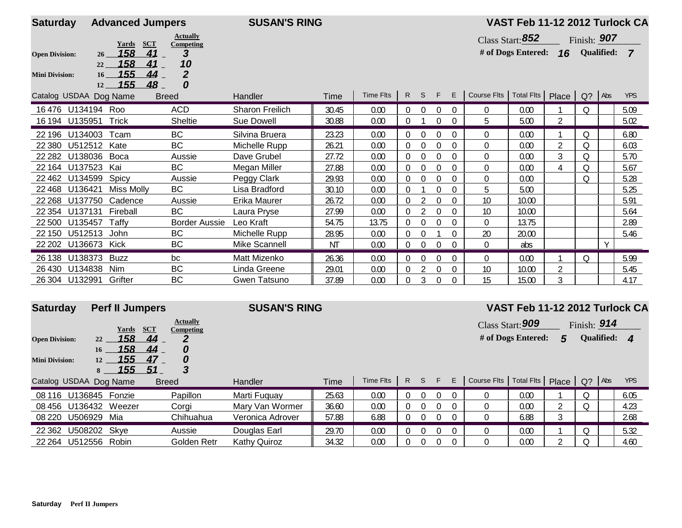| <b>Saturday</b>                                                           | <b>Advanced Jumpers</b>                     | <b>SUSAN'S RING</b> |       |           |                |          |             | VAST Feb 11-12 2012 Turlock CA |                                             |                    |                |             |                   |                |  |
|---------------------------------------------------------------------------|---------------------------------------------|---------------------|-------|-----------|----------------|----------|-------------|--------------------------------|---------------------------------------------|--------------------|----------------|-------------|-------------------|----------------|--|
| Yards                                                                     | <b>Actually</b><br><b>SCT</b><br>Competing  |                     |       |           |                |          |             |                                |                                             | Class Start: 852   |                | Finish: 907 |                   |                |  |
| 158<br><b>Open Division:</b><br>26                                        | 3<br>41                                     |                     |       |           |                |          |             |                                |                                             | # of Dogs Entered: | 16             |             | <b>Qualified:</b> | $\overline{7}$ |  |
| 158<br>22<br>155<br>16 <sup>2</sup><br><b>Mini Division:</b><br>155<br>12 | 10<br>41<br>$\overline{2}$<br>44<br>0<br>48 |                     |       |           |                |          |             |                                |                                             |                    |                |             |                   |                |  |
| Catalog USDAA Dog Name                                                    | <b>Breed</b>                                | Handler             | Time  | Time Flts | R              | S.       | F.          | E.                             | Course Flts   Total Flts   Place   Q?   Abs |                    |                |             |                   | <b>YPS</b>     |  |
| 16476 U134194 Roo                                                         | <b>ACD</b>                                  | Sharon Freilich     | 30.45 | 0.00      | 0              | $\Omega$ | $\mathbf 0$ | $\Omega$                       | $\mathbf{0}$                                | 0.00               |                | Q           |                   | 5.09           |  |
| <b>Trick</b><br>16 194 U135951                                            | Sheltie                                     | Sue Dowell          | 30.88 | 0.00      |                |          | $\Omega$    | $\Omega$                       | 5                                           | 5.00               | $\overline{2}$ |             |                   | 5.02           |  |
| U134003<br>22 196<br>Tcam                                                 | <b>BC</b>                                   | Silvina Bruera      | 23.23 | 0.00      | $\Omega$       | $\Omega$ | 0           | $\Omega$                       | 0                                           | 0.00               |                | 0           |                   | 6.80           |  |
| U512512<br>22 3 8 0<br>Kate                                               | <b>BC</b>                                   | Michelle Rupp       | 26.21 | 0.00      | $\Omega$       | $\theta$ | 0           | $\Omega$                       | $\Omega$                                    | 0.00               | $\overline{2}$ | Q           |                   | 6.03           |  |
| U138036<br>Boca<br>22 28 2                                                | Aussie                                      | Dave Grubel         | 27.72 | 0.00      | $\overline{0}$ | $\Omega$ | $\Omega$    | $\Omega$                       | $\Omega$                                    | 0.00               | 3              | 0           |                   | 5.70           |  |
| U137523<br>22 164<br>Kai                                                  | <b>BC</b>                                   | Megan Miller        | 27.88 | 0.00      | $\overline{0}$ | $\theta$ | 0           | $\Omega$                       | $\Omega$                                    | 0.00               | 4              | Q           |                   | 5.67           |  |
| U134599<br>Spicy<br>22 4 62                                               | Aussie                                      | Peggy Clark         | 29.93 | 0.00      | $\Omega$       | $\Omega$ | 0           | $\Omega$                       | $\Omega$                                    | 0.00               |                | Q           |                   | 5.28           |  |
| U136421<br>22 4 68                                                        | <b>BC</b><br>Miss Molly                     | Lisa Bradford       | 30.10 | 0.00      | 0              |          | 0           | $\Omega$                       | 5                                           | 5.00               |                |             |                   | 5.25           |  |
| U137750<br>Cadence<br>22 2 68                                             | Aussie                                      | Erika Maurer        | 26.72 | 0.00      | 0              |          | 0           | $\Omega$                       | 10                                          | 10.00              |                |             |                   | 5.91           |  |
| 22 3 54<br>U137131<br>Fireball                                            | <b>BC</b>                                   | Laura Pryse         | 27.99 | 0.00      | 0              |          | $\mathbf 0$ | $\Omega$                       | 10                                          | 10.00              |                |             |                   | 5.64           |  |
| U135457<br>22 500<br>Taffv                                                | <b>Border Aussie</b>                        | Leo Kraft           | 54.75 | 13.75     | $\Omega$       | $\Omega$ | $\Omega$    | 0                              | $\Omega$                                    | 13.75              |                |             |                   | 2.89           |  |
| U512513<br>22 150<br>John                                                 | <b>BC</b>                                   | Michelle Rupp       | 28.95 | 0.00      |                | $\Omega$ |             |                                | 20                                          | 20.00              |                |             |                   | 5.46           |  |
| 22 202<br>U136673 Kick                                                    | <b>BC</b>                                   | Mike Scannell       | NT    | 0.00      | $\Omega$       | $\theta$ | $\Omega$    | $\Omega$                       | $\Omega$                                    | abs                |                |             | $\vee$            |                |  |
| U138373<br><b>Buzz</b><br>26 138                                          | bc                                          | Matt Mizenko        | 26.36 | 0.00      | $\overline{0}$ | $\Omega$ | 0           | 0                              | 0                                           | 0.00               |                | O           |                   | 5.99           |  |
| U134838<br>26 4 30<br>Nim                                                 | <b>BC</b>                                   | Linda Greene        | 29.01 | 0.00      |                |          | $\mathbf 0$ | 0                              | 10                                          | 10.00              | $\overline{2}$ |             |                   | 5.45           |  |
| Grifter<br>26 304 U132991                                                 | <b>BC</b>                                   | Gwen Tatsuno        | 37.89 | 0.00      |                |          | $\theta$    | 0                              | 15                                          | 15.00              | 3              |             |                   | 4.17           |  |

| <b>Saturday</b>        | <b>Perf II Jumpers</b>                          | <b>Actually</b>                | <b>SUSAN'S RING</b> |       |           |          |          |          | VAST Feb 11-12 2012 Turlock CA<br>Class Start: 909<br>Finish: $914$ |                          |                    |       |           |            |                  |  |
|------------------------|-------------------------------------------------|--------------------------------|---------------------|-------|-----------|----------|----------|----------|---------------------------------------------------------------------|--------------------------|--------------------|-------|-----------|------------|------------------|--|
|                        | SCT<br>Yards                                    | Competing                      |                     |       |           |          |          |          |                                                                     |                          |                    |       |           |            |                  |  |
| <b>Open Division:</b>  | 158<br>22                                       | 44<br>2                        |                     |       |           |          |          |          |                                                                     |                          | # of Dogs Entered: | 5     |           | Qualified: | $\boldsymbol{4}$ |  |
| <b>Mini Division:</b>  | 158<br>16<br>155<br>12<br><u> 155 </u><br>$8 -$ | 44<br>0<br>47<br>0<br>3<br>-51 |                     |       |           |          |          |          |                                                                     |                          |                    |       |           |            |                  |  |
| Catalog USDAA Dog Name |                                                 | <b>Breed</b>                   | Handler             | Time  | Time Flts | R.       | S.       | F.       | E.                                                                  | Course Flts   Total Flts |                    | Place | $Q$ ? Abs |            | <b>YPS</b>       |  |
| 08 116                 | U136845 Fonzie                                  | Papillon                       | Marti Fuguav        | 25.63 | 0.00      |          |          | $\Omega$ |                                                                     |                          | 0.00               |       |           |            | 6.05             |  |
|                        | 08 456 U136432 Weezer                           | Corai                          | Mary Van Wormer     | 36.60 | 0.00      |          |          | $\Omega$ | 0                                                                   |                          | 0.00               |       |           |            | 4.23             |  |
| U506929<br>08 220      | Mia                                             | Chihuahua                      | Veronica Adrover    | 57.88 | 6.88      | $\Omega$ | $\Omega$ | $\Omega$ | 0                                                                   |                          | 6.88               |       |           |            | 2.68             |  |
| 22 3 62                | U508202 Skye                                    | Aussie                         | Douglas Earl        | 29.70 | 0.00      |          |          | $\Omega$ |                                                                     |                          | 0.00               |       |           |            | 5.32             |  |
|                        | 22 264 U512556 Robin<br>Golden Retr             |                                | <b>Kathy Quiroz</b> | 34.32 | 0.00      |          |          |          |                                                                     |                          | 0.00               |       |           |            | 4.60             |  |